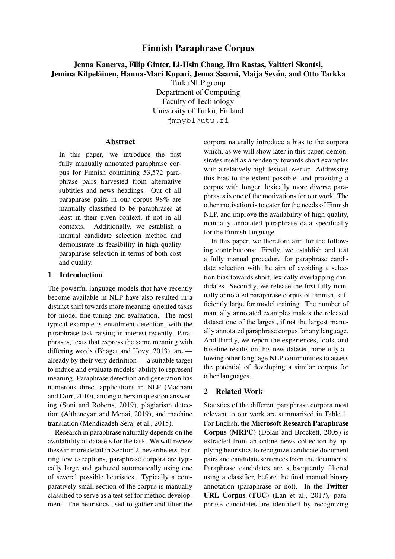## Finnish Paraphrase Corpus

# Jenna Kanerva, Filip Ginter, Li-Hsin Chang, Iiro Rastas, Valtteri Skantsi, Jemina Kilpeläinen, Hanna-Mari Kupari, Jenna Saarni, Maija Sevón, and Otto Tarkka

TurkuNLP group

Department of Computing Faculty of Technology University of Turku, Finland jmnybl@utu.fi

### Abstract

In this paper, we introduce the first fully manually annotated paraphrase corpus for Finnish containing 53,572 paraphrase pairs harvested from alternative subtitles and news headings. Out of all paraphrase pairs in our corpus 98% are manually classified to be paraphrases at least in their given context, if not in all contexts. Additionally, we establish a manual candidate selection method and demonstrate its feasibility in high quality paraphrase selection in terms of both cost and quality.

## 1 Introduction

The powerful language models that have recently become available in NLP have also resulted in a distinct shift towards more meaning-oriented tasks for model fine-tuning and evaluation. The most typical example is entailment detection, with the paraphrase task raising in interest recently. Paraphrases, texts that express the same meaning with differing words (Bhagat and Hovy, 2013), are already by their very definition — a suitable target to induce and evaluate models' ability to represent meaning. Paraphrase detection and generation has numerous direct applications in NLP (Madnani and Dorr, 2010), among others in question answering (Soni and Roberts, 2019), plagiarism detection (Altheneyan and Menai, 2019), and machine translation (Mehdizadeh Seraj et al., 2015).

Research in paraphrase naturally depends on the availability of datasets for the task. We will review these in more detail in Section 2, nevertheless, barring few exceptions, paraphrase corpora are typically large and gathered automatically using one of several possible heuristics. Typically a comparatively small section of the corpus is manually classified to serve as a test set for method development. The heuristics used to gather and filter the corpora naturally introduce a bias to the corpora which, as we will show later in this paper, demonstrates itself as a tendency towards short examples with a relatively high lexical overlap. Addressing this bias to the extent possible, and providing a corpus with longer, lexically more diverse paraphrases is one of the motivations for our work. The other motivation is to cater for the needs of Finnish NLP, and improve the availability of high-quality, manually annotated paraphrase data specifically for the Finnish language.

In this paper, we therefore aim for the following contributions: Firstly, we establish and test a fully manual procedure for paraphrase candidate selection with the aim of avoiding a selection bias towards short, lexically overlapping candidates. Secondly, we release the first fully manually annotated paraphrase corpus of Finnish, sufficiently large for model training. The number of manually annotated examples makes the released dataset one of the largest, if not the largest manually annotated paraphrase corpus for any language. And thirdly, we report the experiences, tools, and baseline results on this new dataset, hopefully allowing other language NLP communities to assess the potential of developing a similar corpus for other languages.

## 2 Related Work

Statistics of the different paraphrase corpora most relevant to our work are summarized in Table 1. For English, the Microsoft Research Paraphrase Corpus (MRPC) (Dolan and Brockett, 2005) is extracted from an online news collection by applying heuristics to recognize candidate document pairs and candidate sentences from the documents. Paraphrase candidates are subsequently filtered using a classifier, before the final manual binary annotation (paraphrase or not). In the Twitter URL Corpus (TUC) (Lan et al., 2017), paraphrase candidates are identified by recognizing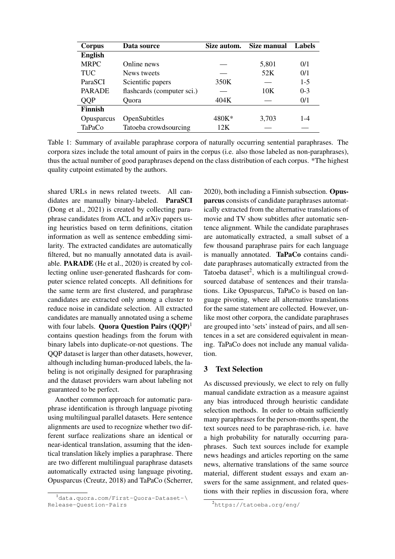| Corpus         | Data source                | Size autom. | Size manual | <b>Labels</b> |
|----------------|----------------------------|-------------|-------------|---------------|
| <b>English</b> |                            |             |             |               |
| <b>MRPC</b>    | Online news                |             | 5,801       | 0/1           |
| TUC            | News tweets                |             | 52K         | 0/1           |
| ParaSCI        | Scientific papers          | 350K        |             | $1-5$         |
| <b>PARADE</b>  | flashcards (computer sci.) |             | 10K         | $0 - 3$       |
| QQP            | Ouora                      | 404K        |             | 0/1           |
| <b>Finnish</b> |                            |             |             |               |
| Opusparcus     | OpenSubtitles              | 480K*       | 3,703       | $1 - 4$       |
| TaPaCo         | Tatoeba crowdsourcing      | 12K         |             |               |

Table 1: Summary of available paraphrase corpora of naturally occurring sentential paraphrases. The corpora sizes include the total amount of pairs in the corpus (i.e. also those labeled as non-paraphrases), thus the actual number of good paraphrases depend on the class distribution of each corpus. \*The highest quality cutpoint estimated by the authors.

shared URLs in news related tweets. All candidates are manually binary-labeled. ParaSCI (Dong et al., 2021) is created by collecting paraphrase candidates from ACL and arXiv papers using heuristics based on term definitions, citation information as well as sentence embedding similarity. The extracted candidates are automatically filtered, but no manually annotated data is available. PARADE (He et al., 2020) is created by collecting online user-generated flashcards for computer science related concepts. All definitions for the same term are first clustered, and paraphrase candidates are extracted only among a cluster to reduce noise in candidate selection. All extracted candidates are manually annotated using a scheme with four labels. Quora Question Pairs  $(QQP)^1$ contains question headings from the forum with binary labels into duplicate-or-not questions. The QQP dataset is larger than other datasets, however, although including human-produced labels, the labeling is not originally designed for paraphrasing and the dataset providers warn about labeling not guaranteed to be perfect.

Another common approach for automatic paraphrase identification is through language pivoting using multilingual parallel datasets. Here sentence alignments are used to recognize whether two different surface realizations share an identical or near-identical translation, assuming that the identical translation likely implies a paraphrase. There are two different multilingual paraphrase datasets automatically extracted using language pivoting, Opusparcus (Creutz, 2018) and TaPaCo (Scherrer,

2020), both including a Finnish subsection. Opusparcus consists of candidate paraphrases automatically extracted from the alternative translations of movie and TV show subtitles after automatic sentence alignment. While the candidate paraphrases are automatically extracted, a small subset of a few thousand paraphrase pairs for each language is manually annotated. TaPaCo contains candidate paraphrases automatically extracted from the Tatoeba dataset $2$ , which is a multilingual crowdsourced database of sentences and their translations. Like Opusparcus, TaPaCo is based on language pivoting, where all alternative translations for the same statement are collected. However, unlike most other corpora, the candidate paraphrases are grouped into 'sets' instead of pairs, and all sentences in a set are considered equivalent in meaning. TaPaCo does not include any manual validation.

## 3 Text Selection

As discussed previously, we elect to rely on fully manual candidate extraction as a measure against any bias introduced through heuristic candidate selection methods. In order to obtain sufficiently many paraphrases for the person-months spent, the text sources need to be paraphrase-rich, i.e. have a high probability for naturally occurring paraphrases. Such text sources include for example news headings and articles reporting on the same news, alternative translations of the same source material, different student essays and exam answers for the same assignment, and related questions with their replies in discussion fora, where

<sup>&</sup>lt;sup>1</sup>data.quora.com/First-Ouora-Dataset-\ Release-Question-Pairs

<sup>2</sup>https://tatoeba.org/eng/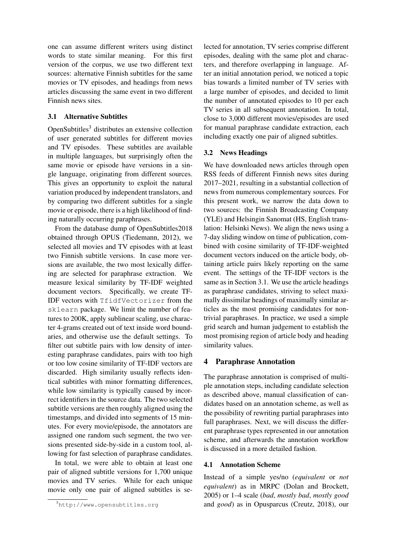one can assume different writers using distinct words to state similar meaning. For this first version of the corpus, we use two different text sources: alternative Finnish subtitles for the same movies or TV episodes, and headings from news articles discussing the same event in two different Finnish news sites.

## 3.1 Alternative Subtitles

 $OpenSubtitles<sup>3</sup>$  distributes an extensive collection of user generated subtitles for different movies and TV episodes. These subtitles are available in multiple languages, but surprisingly often the same movie or episode have versions in a single language, originating from different sources. This gives an opportunity to exploit the natural variation produced by independent translators, and by comparing two different subtitles for a single movie or episode, there is a high likelihood of finding naturally occurring paraphrases.

From the database dump of OpenSubtitles2018 obtained through OPUS (Tiedemann, 2012), we selected all movies and TV episodes with at least two Finnish subtitle versions. In case more versions are available, the two most lexically differing are selected for paraphrase extraction. We measure lexical similarity by TF-IDF weighted document vectors. Specifically, we create TF-IDF vectors with TfidfVectorizer from the sklearn package. We limit the number of features to 200K, apply sublinear scaling, use character 4-grams created out of text inside word boundaries, and otherwise use the default settings. To filter out subtitle pairs with low density of interesting paraphrase candidates, pairs with too high or too low cosine similarity of TF-IDF vectors are discarded. High similarity usually reflects identical subtitles with minor formatting differences, while low similarity is typically caused by incorrect identifiers in the source data. The two selected subtitle versions are then roughly aligned using the timestamps, and divided into segments of 15 minutes. For every movie/episode, the annotators are assigned one random such segment, the two versions presented side-by-side in a custom tool, allowing for fast selection of paraphrase candidates.

In total, we were able to obtain at least one pair of aligned subtitle versions for 1,700 unique movies and TV series. While for each unique movie only one pair of aligned subtitles is se-

lected for annotation, TV series comprise different episodes, dealing with the same plot and characters, and therefore overlapping in language. After an initial annotation period, we noticed a topic bias towards a limited number of TV series with a large number of episodes, and decided to limit the number of annotated episodes to 10 per each TV series in all subsequent annotation. In total, close to 3,000 different movies/episodes are used for manual paraphrase candidate extraction, each including exactly one pair of aligned subtitles.

#### 3.2 News Headings

We have downloaded news articles through open RSS feeds of different Finnish news sites during 2017–2021, resulting in a substantial collection of news from numerous complementary sources. For this present work, we narrow the data down to two sources: the Finnish Broadcasting Company (YLE) and Helsingin Sanomat (HS, English translation: Helsinki News). We align the news using a 7-day sliding window on time of publication, combined with cosine similarity of TF-IDF-weighted document vectors induced on the article body, obtaining article pairs likely reporting on the same event. The settings of the TF-IDF vectors is the same as in Section 3.1. We use the article headings as paraphrase candidates, striving to select maximally dissimilar headings of maximally similar articles as the most promising candidates for nontrivial paraphrases. In practice, we used a simple grid search and human judgement to establish the most promising region of article body and heading similarity values.

#### 4 Paraphrase Annotation

The paraphrase annotation is comprised of multiple annotation steps, including candidate selection as described above, manual classification of candidates based on an annotation scheme, as well as the possibility of rewriting partial paraphrases into full paraphrases. Next, we will discuss the different paraphrase types represented in our annotation scheme, and afterwards the annotation workflow is discussed in a more detailed fashion.

#### 4.1 Annotation Scheme

Instead of a simple yes/no (*equivalent* or *not equivalent*) as in MRPC (Dolan and Brockett, 2005) or 1–4 scale (*bad*, *mostly bad*, *mostly good* and *good*) as in Opusparcus (Creutz, 2018), our

<sup>3</sup>http://www.opensubtitles.org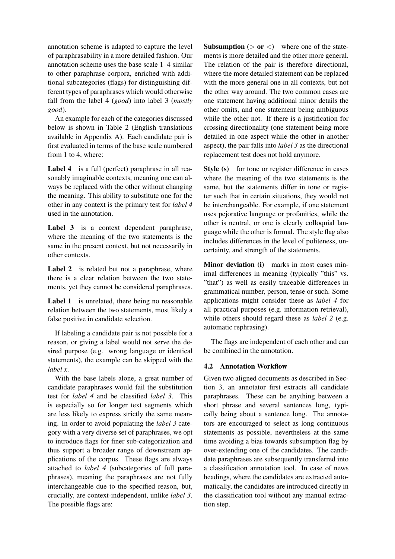annotation scheme is adapted to capture the level of paraphrasability in a more detailed fashion. Our annotation scheme uses the base scale 1–4 similar to other paraphrase corpora, enriched with additional subcategories (flags) for distinguishing different types of paraphrases which would otherwise fall from the label 4 (*good*) into label 3 (*mostly good*).

An example for each of the categories discussed below is shown in Table 2 (English translations available in Appendix A). Each candidate pair is first evaluated in terms of the base scale numbered from 1 to 4, where:

Label 4 is a full (perfect) paraphrase in all reasonably imaginable contexts, meaning one can always be replaced with the other without changing the meaning. This ability to substitute one for the other in any context is the primary test for *label 4* used in the annotation.

Label 3 is a context dependent paraphrase, where the meaning of the two statements is the same in the present context, but not necessarily in other contexts.

Label 2 is related but not a paraphrase, where there is a clear relation between the two statements, yet they cannot be considered paraphrases.

Label 1 is unrelated, there being no reasonable relation between the two statements, most likely a false positive in candidate selection.

If labeling a candidate pair is not possible for a reason, or giving a label would not serve the desired purpose (e.g. wrong language or identical statements), the example can be skipped with the *label x*.

With the base labels alone, a great number of candidate paraphrases would fail the substitution test for *label 4* and be classified *label 3*. This is especially so for longer text segments which are less likely to express strictly the same meaning. In order to avoid populating the *label 3* category with a very diverse set of paraphrases, we opt to introduce flags for finer sub-categorization and thus support a broader range of downstream applications of the corpus. These flags are always attached to *label 4* (subcategories of full paraphrases), meaning the paraphrases are not fully interchangeable due to the specified reason, but, crucially, are context-independent, unlike *label 3*. The possible flags are:

**Subsumption** ( $>$  or  $<$ ) where one of the statements is more detailed and the other more general. The relation of the pair is therefore directional, where the more detailed statement can be replaced with the more general one in all contexts, but not the other way around. The two common cases are one statement having additional minor details the other omits, and one statement being ambiguous while the other not. If there is a justification for crossing directionality (one statement being more detailed in one aspect while the other in another aspect), the pair falls into *label 3* as the directional replacement test does not hold anymore.

Style (s) for tone or register difference in cases where the meaning of the two statements is the same, but the statements differ in tone or register such that in certain situations, they would not be interchangeable. For example, if one statement uses pejorative language or profanities, while the other is neutral, or one is clearly colloquial language while the other is formal. The style flag also includes differences in the level of politeness, uncertainty, and strength of the statements.

Minor deviation (i) marks in most cases minimal differences in meaning (typically "this" vs. "that") as well as easily traceable differences in grammatical number, person, tense or such. Some applications might consider these as *label 4* for all practical purposes (e.g. information retrieval), while others should regard these as *label 2* (e.g. automatic rephrasing).

The flags are independent of each other and can be combined in the annotation.

## 4.2 Annotation Workflow

Given two aligned documents as described in Section 3, an annotator first extracts all candidate paraphrases. These can be anything between a short phrase and several sentences long, typically being about a sentence long. The annotators are encouraged to select as long continuous statements as possible, nevertheless at the same time avoiding a bias towards subsumption flag by over-extending one of the candidates. The candidate paraphrases are subsequently transferred into a classification annotation tool. In case of news headings, where the candidates are extracted automatically, the candidates are introduced directly in the classification tool without any manual extraction step.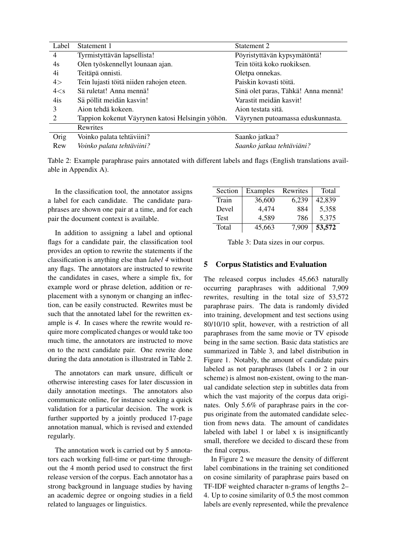| Label           | Statement 1                                      | Statement 2                         |
|-----------------|--------------------------------------------------|-------------------------------------|
| 4               | Tyrmistyttävän lapsellista!                      | Pöyristyttävän kypsymätöntä!        |
| 4s              | Olen työskennellyt lounaan ajan.                 | Tein töitä koko ruokiksen.          |
| 4i              | Teitäpä onnisti.                                 | Oletpa onnekas.                     |
| 4>              | Tein lujasti töitä niiden rahojen eteen.         | Paiskin kovasti töitä.              |
| 4< s            | Sä ruletat! Anna mennä!                          | Sinä olet paras, Tähkä! Anna mennä! |
| 4i <sub>S</sub> | Sä pöllit meidän kasvin!                         | Varastit meidän kasvit!             |
| 3               | Aion tehdä kokeen.                               | Aion testata sitä.                  |
| $\mathfrak{D}$  | Tappion kokenut Väyrynen katosi Helsingin yöhön. | Väyrynen putoamassa eduskunnasta.   |
|                 | <b>Rewrites</b>                                  |                                     |
| Orig            | Voinko palata tehtäviini?                        | Saanko jatkaa?                      |
| Rew             | Voinko palata tehtäviini?                        | Saanko jatkaa tehtäviäni?           |

Table 2: Example paraphrase pairs annotated with different labels and flags (English translations available in Appendix A).

In the classification tool, the annotator assigns a label for each candidate. The candidate paraphrases are shown one pair at a time, and for each pair the document context is available.

In addition to assigning a label and optional flags for a candidate pair, the classification tool provides an option to rewrite the statements if the classification is anything else than *label 4* without any flags. The annotators are instructed to rewrite the candidates in cases, where a simple fix, for example word or phrase deletion, addition or replacement with a synonym or changing an inflection, can be easily constructed. Rewrites must be such that the annotated label for the rewritten example is *4*. In cases where the rewrite would require more complicated changes or would take too much time, the annotators are instructed to move on to the next candidate pair. One rewrite done during the data annotation is illustrated in Table 2.

The annotators can mark unsure, difficult or otherwise interesting cases for later discussion in daily annotation meetings. The annotators also communicate online, for instance seeking a quick validation for a particular decision. The work is further supported by a jointly produced 17-page annotation manual, which is revised and extended regularly.

The annotation work is carried out by 5 annotators each working full-time or part-time throughout the 4 month period used to construct the first release version of the corpus. Each annotator has a strong background in language studies by having an academic degree or ongoing studies in a field related to languages or linguistics.

| Section     | Examples | Rewrites | Total  |
|-------------|----------|----------|--------|
| Train       | 36,600   | 6,239    | 42,839 |
| Devel       | 4,474    | 884      | 5,358  |
| <b>Test</b> | 4,589    | 786      | 5,375  |
| Total       | 45,663   | 7,909    | 53,572 |

Table 3: Data sizes in our corpus.

### 5 Corpus Statistics and Evaluation

The released corpus includes 45,663 naturally occurring paraphrases with additional 7,909 rewrites, resulting in the total size of 53,572 paraphrase pairs. The data is randomly divided into training, development and test sections using 80/10/10 split, however, with a restriction of all paraphrases from the same movie or TV episode being in the same section. Basic data statistics are summarized in Table 3, and label distribution in Figure 1. Notably, the amount of candidate pairs labeled as not paraphrases (labels 1 or 2 in our scheme) is almost non-existent, owing to the manual candidate selection step in subtitles data from which the vast majority of the corpus data originates. Only 5.6% of paraphrase pairs in the corpus originate from the automated candidate selection from news data. The amount of candidates labeled with label 1 or label x is insignificantly small, therefore we decided to discard these from the final corpus.

In Figure 2 we measure the density of different label combinations in the training set conditioned on cosine similarity of paraphrase pairs based on TF-IDF weighted character n-grams of lengths 2– 4. Up to cosine similarity of 0.5 the most common labels are evenly represented, while the prevalence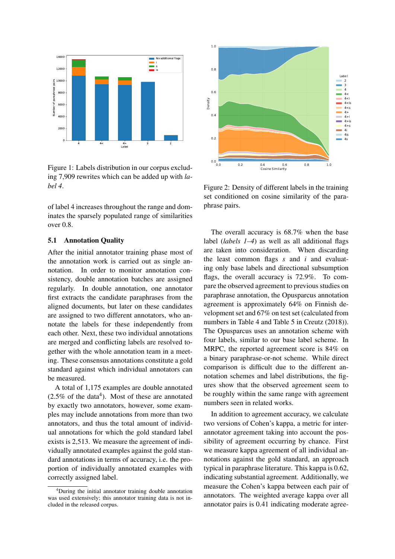

Figure 1: Labels distribution in our corpus excluding 7,909 rewrites which can be added up with *label 4*.

of label 4 increases throughout the range and dominates the sparsely populated range of similarities over 0.8.

#### 5.1 Annotation Quality

After the initial annotator training phase most of the annotation work is carried out as single annotation. In order to monitor annotation consistency, double annotation batches are assigned regularly. In double annotation, one annotator first extracts the candidate paraphrases from the aligned documents, but later on these candidates are assigned to two different annotators, who annotate the labels for these independently from each other. Next, these two individual annotations are merged and conflicting labels are resolved together with the whole annotation team in a meeting. These consensus annotations constitute a gold standard against which individual annotators can be measured.

A total of 1,175 examples are double annotated  $(2.5\% \text{ of the data}^4)$ . Most of these are annotated by exactly two annotators, however, some examples may include annotations from more than two annotators, and thus the total amount of individual annotations for which the gold standard label exists is 2,513. We measure the agreement of individually annotated examples against the gold standard annotations in terms of accuracy, i.e. the proportion of individually annotated examples with correctly assigned label.



Figure 2: Density of different labels in the training set conditioned on cosine similarity of the paraphrase pairs.

The overall accuracy is 68.7% when the base label (*labels 1–4*) as well as all additional flags are taken into consideration. When discarding the least common flags *s* and *i* and evaluating only base labels and directional subsumption flags, the overall accuracy is 72.9%. To compare the observed agreement to previous studies on paraphrase annotation, the Opusparcus annotation agreement is approximately 64% on Finnish development set and 67% on test set (calculated from numbers in Table 4 and Table 5 in Creutz (2018)). The Opusparcus uses an annotation scheme with four labels, similar to our base label scheme. In MRPC, the reported agreement score is 84% on a binary paraphrase-or-not scheme. While direct comparison is difficult due to the different annotation schemes and label distributions, the figures show that the observed agreement seem to be roughly within the same range with agreement numbers seen in related works.

In addition to agreement accuracy, we calculate two versions of Cohen's kappa, a metric for interannotator agreement taking into account the possibility of agreement occurring by chance. First we measure kappa agreement of all individual annotations against the gold standard, an approach typical in paraphrase literature. This kappa is 0.62, indicating substantial agreement. Additionally, we measure the Cohen's kappa between each pair of annotators. The weighted average kappa over all annotator pairs is 0.41 indicating moderate agree-

<sup>4</sup>During the initial annotator training double annotation was used extensively; this annotator training data is not included in the released corpus.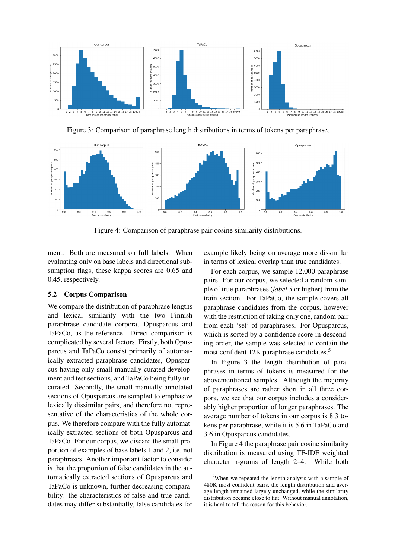

Figure 3: Comparison of paraphrase length distributions in terms of tokens per paraphrase.



Figure 4: Comparison of paraphrase pair cosine similarity distributions.

ment. Both are measured on full labels. When evaluating only on base labels and directional subsumption flags, these kappa scores are 0.65 and 0.45, respectively.

#### 5.2 Corpus Comparison

We compare the distribution of paraphrase lengths and lexical similarity with the two Finnish paraphrase candidate corpora, Opusparcus and TaPaCo, as the reference. Direct comparison is complicated by several factors. Firstly, both Opusparcus and TaPaCo consist primarily of automatically extracted paraphrase candidates, Opusparcus having only small manually curated development and test sections, and TaPaCo being fully uncurated. Secondly, the small manually annotated sections of Opusparcus are sampled to emphasize lexically dissimilar pairs, and therefore not representative of the characteristics of the whole corpus. We therefore compare with the fully automatically extracted sections of both Opusparcus and TaPaCo. For our corpus, we discard the small proportion of examples of base labels 1 and 2, i.e. not paraphrases. Another important factor to consider is that the proportion of false candidates in the automatically extracted sections of Opusparcus and TaPaCo is unknown, further decreasing comparability: the characteristics of false and true candidates may differ substantially, false candidates for

example likely being on average more dissimilar in terms of lexical overlap than true candidates.

For each corpus, we sample 12,000 paraphrase pairs. For our corpus, we selected a random sample of true paraphrases (*label 3* or higher) from the train section. For TaPaCo, the sample covers all paraphrase candidates from the corpus, however with the restriction of taking only one, random pair from each 'set' of paraphrases. For Opusparcus, which is sorted by a confidence score in descending order, the sample was selected to contain the most confident 12K paraphrase candidates.<sup>5</sup>

In Figure 3 the length distribution of paraphrases in terms of tokens is measured for the abovementioned samples. Although the majority of paraphrases are rather short in all three corpora, we see that our corpus includes a considerably higher proportion of longer paraphrases. The average number of tokens in our corpus is 8.3 tokens per paraphrase, while it is 5.6 in TaPaCo and 3.6 in Opusparcus candidates.

In Figure 4 the paraphrase pair cosine similarity distribution is measured using TF-IDF weighted character n-grams of length 2–4. While both

<sup>5</sup>When we repeated the length analysis with a sample of 480K most confident pairs, the length distribution and average length remained largely unchanged, while the similarity distribution became close to flat. Without manual annotation, it is hard to tell the reason for this behavior.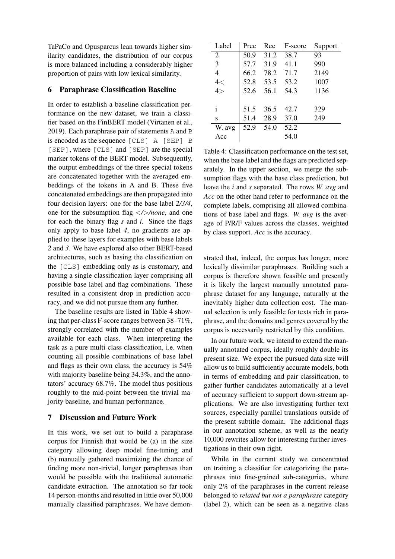TaPaCo and Opusparcus lean towards higher similarity candidates, the distribution of our corpus is more balanced including a considerably higher proportion of pairs with low lexical similarity.

#### 6 Paraphrase Classification Baseline

In order to establish a baseline classification performance on the new dataset, we train a classifier based on the FinBERT model (Virtanen et al., 2019). Each paraphrase pair of statements A and B is encoded as the sequence [CLS] A [SEP] B [SEP], where [CLS] and [SEP] are the special marker tokens of the BERT model. Subsequently, the output embeddings of the three special tokens are concatenated together with the averaged embeddings of the tokens in A and B. These five concatenated embeddings are then propagated into four decision layers: one for the base label *2/3/4*, one for the subsumption flag <*/*>*/none*, and one for each the binary flag *s* and *i*. Since the flags only apply to base label *4*, no gradients are applied to these layers for examples with base labels *2* and *3*. We have explored also other BERT-based architectures, such as basing the classification on the [CLS] embedding only as is customary, and having a single classification layer comprising all possible base label and flag combinations. These resulted in a consistent drop in prediction accuracy, and we did not pursue them any further.

The baseline results are listed in Table 4 showing that per-class F-score ranges between 38–71%, strongly correlated with the number of examples available for each class. When interpreting the task as a pure multi-class classification, i.e. when counting all possible combinations of base label and flags as their own class, the accuracy is 54% with majority baseline being 34.3%, and the annotators' accuracy 68.7%. The model thus positions roughly to the mid-point between the trivial majority baseline, and human performance.

#### 7 Discussion and Future Work

In this work, we set out to build a paraphrase corpus for Finnish that would be (a) in the size category allowing deep model fine-tuning and (b) manually gathered maximizing the chance of finding more non-trivial, longer paraphrases than would be possible with the traditional automatic candidate extraction. The annotation so far took 14 person-months and resulted in little over 50,000 manually classified paraphrases. We have demon-

| Label        | Prec | Rec  | F-score | Support |
|--------------|------|------|---------|---------|
| 2            | 50.9 | 31.2 | 38.7    | 93      |
| 3            | 57.7 | 31.9 | 41.1    | 990     |
| 4            | 66.2 | 78.2 | 71.7    | 2149    |
| 4<           | 52.8 | 53.5 | 53.2    | 1007    |
| 4>           | 52.6 | 56.1 | 54.3    | 1136    |
| $\mathbf{i}$ | 51.5 | 36.5 | 42.7    | 329     |
| S            | 51.4 | 28.9 | 37.0    | 249     |
| W. avg       | 52.9 | 54.0 | 52.2    |         |
| Acc          |      |      | 54.0    |         |

Table 4: Classification performance on the test set, when the base label and the flags are predicted separately. In the upper section, we merge the subsumption flags with the base class prediction, but leave the *i* and *s* separated. The rows *W. avg* and *Acc* on the other hand refer to performance on the complete labels, comprising all allowed combinations of base label and flags. *W. avg* is the average of P/R/F values across the classes, weighted by class support. *Acc* is the accuracy.

strated that, indeed, the corpus has longer, more lexically dissimilar paraphrases. Building such a corpus is therefore shown feasible and presently it is likely the largest manually annotated paraphrase dataset for any language, naturally at the inevitably higher data collection cost. The manual selection is only feasible for texts rich in paraphrase, and the domains and genres covered by the corpus is necessarily restricted by this condition.

In our future work, we intend to extend the manually annotated corpus, ideally roughly double its present size. We expect the pursued data size will allow us to build sufficiently accurate models, both in terms of embedding and pair classification, to gather further candidates automatically at a level of accuracy sufficient to support down-stream applications. We are also investigating further text sources, especially parallel translations outside of the present subtitle domain. The additional flags in our annotation scheme, as well as the nearly 10,000 rewrites allow for interesting further investigations in their own right.

While in the current study we concentrated on training a classifier for categorizing the paraphrases into fine-grained sub-categories, where only 2% of the paraphrases in the current release belonged to *related but not a paraphrase* category (label 2), which can be seen as a negative class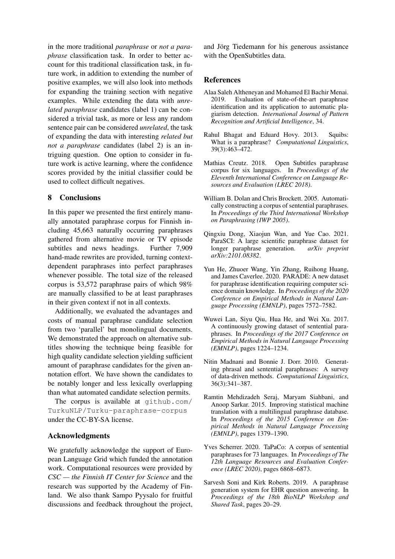in the more traditional *paraphrase* or *not a paraphrase* classification task. In order to better account for this traditional classification task, in future work, in addition to extending the number of positive examples, we will also look into methods for expanding the training section with negative examples. While extending the data with *unrelated paraphrase* candidates (label 1) can be considered a trivial task, as more or less any random sentence pair can be considered *unrelated*, the task of expanding the data with interesting *related but not a paraphrase* candidates (label 2) is an intriguing question. One option to consider in future work is active learning, where the confidence scores provided by the initial classifier could be used to collect difficult negatives.

## 8 Conclusions

In this paper we presented the first entirely manually annotated paraphrase corpus for Finnish including 45,663 naturally occurring paraphrases gathered from alternative movie or TV episode subtitles and news headings. Further 7,909 hand-made rewrites are provided, turning contextdependent paraphrases into perfect paraphrases whenever possible. The total size of the released corpus is 53,572 paraphrase pairs of which 98% are manually classified to be at least paraphrases in their given context if not in all contexts.

Additionally, we evaluated the advantages and costs of manual paraphrase candidate selection from two 'parallel' but monolingual documents. We demonstrated the approach on alternative subtitles showing the technique being feasible for high quality candidate selection yielding sufficient amount of paraphrase candidates for the given annotation effort. We have shown the candidates to be notably longer and less lexically overlapping than what automated candidate selection permits.

The corpus is available at github.com/ TurkuNLP/Turku-paraphrase-corpus under the CC-BY-SA license.

#### Acknowledgments

We gratefully acknowledge the support of European Language Grid which funded the annotation work. Computational resources were provided by *CSC — the Finnish IT Center for Science* and the research was supported by the Academy of Finland. We also thank Sampo Pyysalo for fruitful discussions and feedback throughout the project, and Jörg Tiedemann for his generous assistance with the OpenSubtitles data.

#### References

- Alaa Saleh Altheneyan and Mohamed El Bachir Menai. 2019. Evaluation of state-of-the-art paraphrase identification and its application to automatic plagiarism detection. *International Journal of Pattern Recognition and Artificial Intelligence*, 34.
- Rahul Bhagat and Eduard Hovy. 2013. Squibs: What is a paraphrase? *Computational Linguistics*, 39(3):463–472.
- Mathias Creutz. 2018. Open Subtitles paraphrase corpus for six languages. In *Proceedings of the Eleventh International Conference on Language Resources and Evaluation (LREC 2018)*.
- William B. Dolan and Chris Brockett. 2005. Automatically constructing a corpus of sentential paraphrases. In *Proceedings of the Third International Workshop on Paraphrasing (IWP 2005)*.
- Qingxiu Dong, Xiaojun Wan, and Yue Cao. 2021. ParaSCI: A large scientific paraphrase dataset for longer paraphrase generation. *arXiv preprint arXiv:2101.08382*.
- Yun He, Zhuoer Wang, Yin Zhang, Ruihong Huang, and James Caverlee. 2020. PARADE: A new dataset for paraphrase identification requiring computer science domain knowledge. In *Proceedings of the 2020 Conference on Empirical Methods in Natural Language Processing (EMNLP)*, pages 7572–7582.
- Wuwei Lan, Siyu Qiu, Hua He, and Wei Xu. 2017. A continuously growing dataset of sentential paraphrases. In *Proceedings of the 2017 Conference on Empirical Methods in Natural Language Processing (EMNLP)*, pages 1224–1234.
- Nitin Madnani and Bonnie J. Dorr. 2010. Generating phrasal and sentential paraphrases: A survey of data-driven methods. *Computational Linguistics*, 36(3):341–387.
- Ramtin Mehdizadeh Seraj, Maryam Siahbani, and Anoop Sarkar. 2015. Improving statistical machine translation with a multilingual paraphrase database. In *Proceedings of the 2015 Conference on Empirical Methods in Natural Language Processing (EMNLP)*, pages 1379–1390.
- Yves Scherrer. 2020. TaPaCo: A corpus of sentential paraphrases for 73 languages. In *Proceedings of The 12th Language Resources and Evaluation Conference (LREC 2020)*, pages 6868–6873.
- Sarvesh Soni and Kirk Roberts. 2019. A paraphrase generation system for EHR question answering. In *Proceedings of the 18th BioNLP Workshop and Shared Task*, pages 20–29.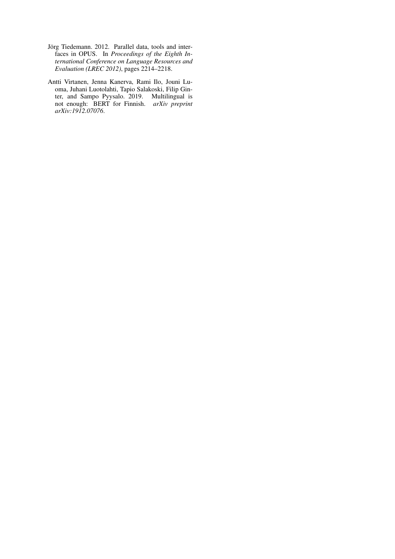- Jörg Tiedemann. 2012. Parallel data, tools and interfaces in OPUS. In *Proceedings of the Eighth International Conference on Language Resources and Evaluation (LREC 2012)*, pages 2214–2218.
- Antti Virtanen, Jenna Kanerva, Rami Ilo, Jouni Luoma, Juhani Luotolahti, Tapio Salakoski, Filip Ginter, and Sampo Pyysalo. 2019. Multilingual is not enough: BERT for Finnish. *arXiv preprint arXiv:1912.07076*.